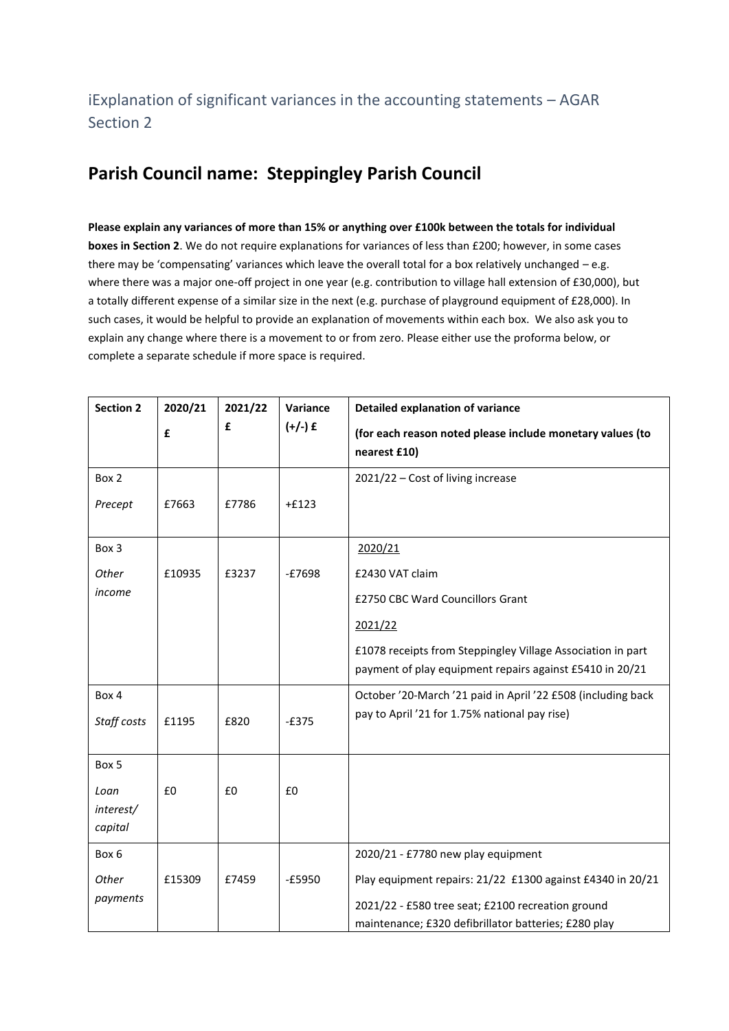## **Parish Council name: Steppingley Parish Council**

**Please explain any variances of more than 15% or anything over £100k between the totals for individual boxes in Section 2**. We do not require explanations for variances of less than £200; however, in some cases there may be 'compensating' variances which leave the overall total for a box relatively unchanged  $-e.g.$ where there was a major one-off project in one year (e.g. contribution to village hall extension of £30,000), but a totally different expense of a similar size in the next (e.g. purchase of playground equipment of £28,000). In such cases, it would be helpful to provide an explanation of movements within each box. We also ask you to explain any change where there is a movement to or from zero. Please either use the proforma below, or complete a separate schedule if more space is required.

| <b>Section 2</b>             | 2020/21 | 2021/22 | Variance  | <b>Detailed explanation of variance</b>                                                                                 |
|------------------------------|---------|---------|-----------|-------------------------------------------------------------------------------------------------------------------------|
|                              | £       | £       | $(+/-)$ £ | (for each reason noted please include monetary values (to<br>nearest £10)                                               |
| Box 2                        |         |         |           | 2021/22 - Cost of living increase                                                                                       |
| Precept                      | £7663   | £7786   | $+£123$   |                                                                                                                         |
| Box 3                        |         |         |           | 2020/21                                                                                                                 |
| Other                        | £10935  | £3237   | $-£7698$  | £2430 VAT claim                                                                                                         |
| income                       |         |         |           | £2750 CBC Ward Councillors Grant                                                                                        |
|                              |         |         |           | 2021/22                                                                                                                 |
|                              |         |         |           | £1078 receipts from Steppingley Village Association in part<br>payment of play equipment repairs against £5410 in 20/21 |
| Box 4<br>Staff costs         | £1195   | £820    | $-E375$   | October '20-March '21 paid in April '22 £508 (including back<br>pay to April '21 for 1.75% national pay rise)           |
| Box 5                        |         |         |           |                                                                                                                         |
| Loan<br>interest/<br>capital | £0      | £0      | £0        |                                                                                                                         |
| Box 6                        |         |         |           | 2020/21 - £7780 new play equipment                                                                                      |
| Other                        | £15309  | £7459   | $-E5950$  | Play equipment repairs: 21/22 £1300 against £4340 in 20/21                                                              |
| payments                     |         |         |           | 2021/22 - £580 tree seat; £2100 recreation ground                                                                       |
|                              |         |         |           | maintenance; £320 defibrillator batteries; £280 play                                                                    |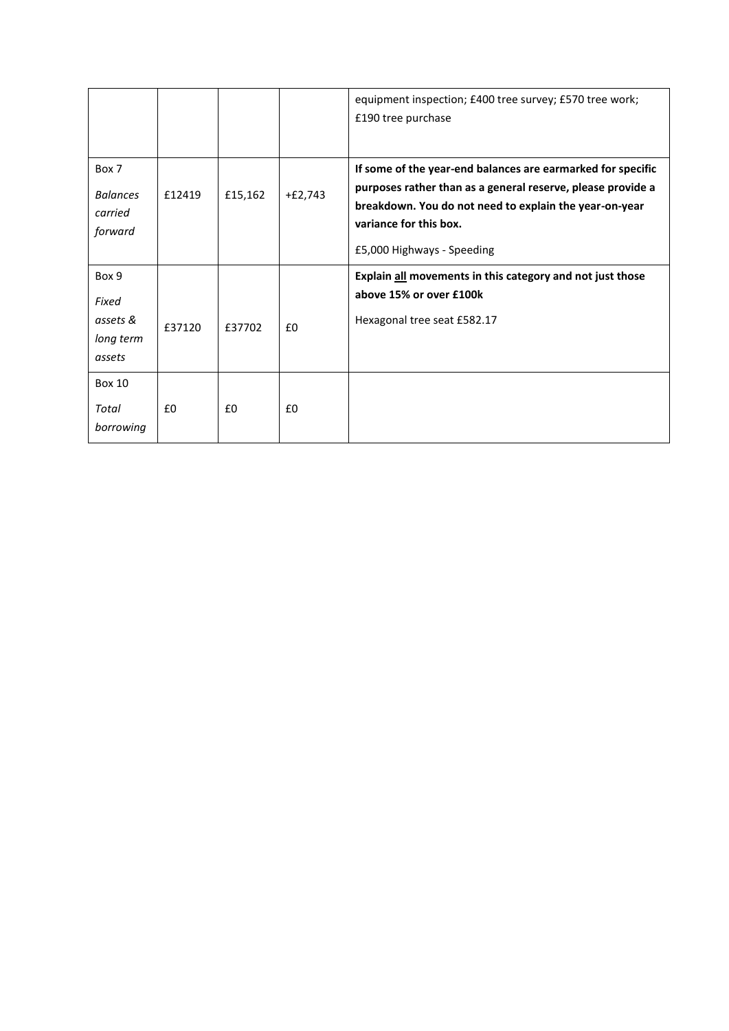|                                                   |        |         |           | equipment inspection; £400 tree survey; £570 tree work;<br>£190 tree purchase                                                                                                                                                                |
|---------------------------------------------------|--------|---------|-----------|----------------------------------------------------------------------------------------------------------------------------------------------------------------------------------------------------------------------------------------------|
| Box 7<br><b>Balances</b><br>carried<br>forward    | £12419 | £15,162 | $+£2,743$ | If some of the year-end balances are earmarked for specific<br>purposes rather than as a general reserve, please provide a<br>breakdown. You do not need to explain the year-on-year<br>variance for this box.<br>£5,000 Highways - Speeding |
| Box 9<br>Fixed<br>assets &<br>long term<br>assets | £37120 | £37702  | £0        | Explain all movements in this category and not just those<br>above 15% or over £100k<br>Hexagonal tree seat £582.17                                                                                                                          |
| <b>Box 10</b><br>Total<br>borrowing               | £0     | £0      | £0        |                                                                                                                                                                                                                                              |